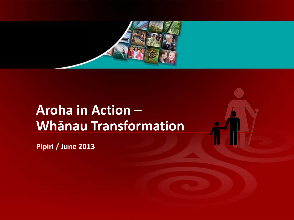

# **Aroha in Action – Whānau Transformation**

**Pipiri / June 2013**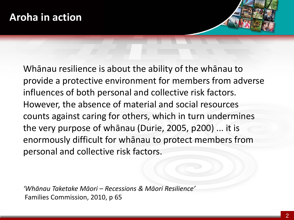Whānau resilience is about the ability of the whānau to provide a protective environment for members from adverse influences of both personal and collective risk factors. However, the absence of material and social resources counts against caring for others, which in turn undermines the very purpose of whānau (Durie, 2005, p200) ... it is enormously difficult for whānau to protect members from personal and collective risk factors.

*'Whānau Taketake Māori* – *Recessions & Māori Resilience'* Families Commission, 2010, p 65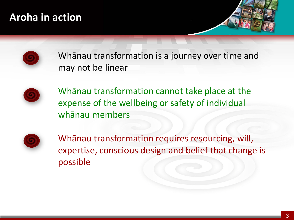### **Aroha in action**





Whānau transformation is a journey over time and may not be linear



Whānau transformation cannot take place at the expense of the wellbeing or safety of individual whānau members



Whānau transformation requires resourcing, will, expertise, conscious design and belief that change is possible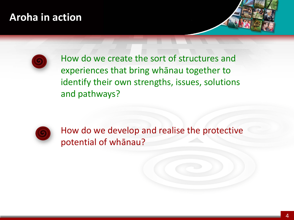### **Aroha in action**





How do we create the sort of structures and experiences that bring whānau together to identify their own strengths, issues, solutions and pathways?



How do we develop and realise the protective potential of whānau?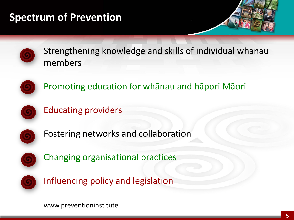## **Spectrum of Prevention**







Promoting education for whānau and hāpori Māori



Educating providers



Fostering networks and collaboration



Changing organisational practices



Influencing policy and legislation

www.preventioninstitute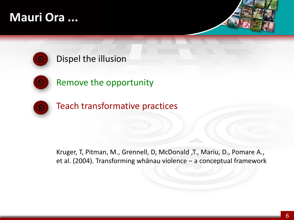## **Mauri Ora ...**



#### Dispel the illusion



Remove the opportunity



Teach transformative practices

Kruger, T, Pitman, M., Grennell, D, McDonald ,T., Mariu, D., Pomare A., et al. (2004). Transforming whānau violence – a conceptual framework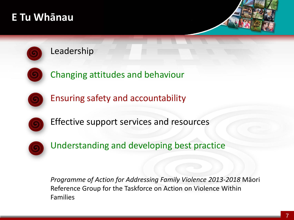### **E Tu Whānau**





#### Leadership

Changing attitudes and behaviour



Ensuring safety and accountability



Effective support services and resources



Understanding and developing best practice

*Programme of Action for Addressing Family Violence 2013-2018* Māori Reference Group for the Taskforce on Action on Violence Within Families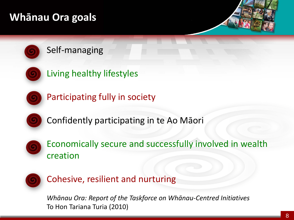## **Whānau Ora goals**





Living healthy lifestyles



Participating fully in society



Confidently participating in te Ao Māori



Economically secure and successfully involved in wealth creation



Cohesive, resilient and nurturing

*Whānau Ora: Report of the Taskforce on Whānau-Centred Initiatives* To Hon Tariana Turia (2010)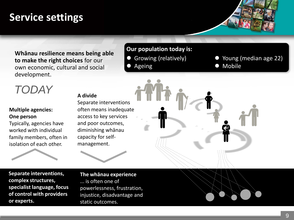### **Service settings**

**Whānau resilience means being able to make the right choices** for our own economic, cultural and social development.

## *TODAY*

#### **Multiple agencies: One person**

Typically, agencies have worked with individual family members, often in isolation of each other.

#### **A divide**

Separate interventions often means inadequate access to key services and poor outcomes, diminishing whānau capacity for selfmanagement.

**Separate interventions, complex structures, specialist language, focus of control with providers or experts.**

**The whānau experience** ... is often one of powerlessness, frustration, injustice, disadvantage and static outcomes.



- 
- Growing (relatively) **Company** Young (median age 22)
	- Ageing **Mobile**

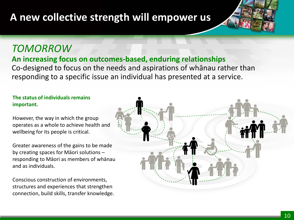## **A new collective strength will empower us**

#### *TOMORROW*

#### **An increasing focus on outcomes-based, enduring relationships**

Co-designed to focus on the needs and aspirations of whānau rather than responding to a specific issue an individual has presented at a service.

#### **The status of individuals remains important.**

However, the way in which the group operates as a whole to achieve health and wellbeing for its people is critical.

Greater awareness of the gains to be made by creating spaces for Māori solutions – responding to Māori as members of whānau and as individuals.

Conscious construction of environments, structures and experiences that strengthen connection, build skills, transfer knowledge.

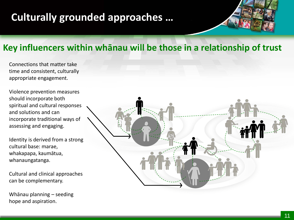## **Culturally grounded approaches …**



#### **Key influencers within whānau will be those in a relationship of trust**

Connections that matter take time and consistent, culturally appropriate engagement.

Violence prevention measures should incorporate both spiritual and cultural responses and solutions and can incorporate traditional ways of assessing and engaging.

Identity is derived from a strong cultural base: marae, whakapapa, kaumātua, whanaungatanga.

Cultural and clinical approaches can be complementary.

Whānau planning – seeding hope and aspiration.

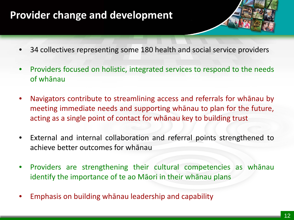### **Provider change and development**

- 34 collectives representing some 180 health and social service providers
- Providers focused on holistic, integrated services to respond to the needs of whānau
- Navigators contribute to streamlining access and referrals for whānau by meeting immediate needs and supporting whānau to plan for the future, acting as a single point of contact for whānau key to building trust
- External and internal collaboration and referral points strengthened to achieve better outcomes for whānau
- Providers are strengthening their cultural competencies as whānau identify the importance of te ao Māori in their whānau plans
- Emphasis on building whānau leadership and capability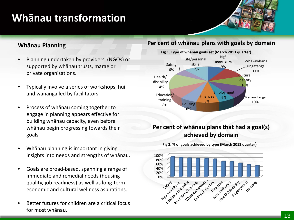### **Whānau transformation**

#### **Whānau Planning**

- Planning undertaken by providers (NGOs) or supported by whānau trusts, marae or private organisations.
- Typically involve a series of workshops, hui and wānanga led by facilitators
- Process of whānau coming together to engage in planning appears effective for building whānau capacity, even before whānau begin progressing towards their goals
- Whānau planning is important in giving insights into needs and strengths of whānau.
- Goals are broad-based, spanning a range of immediate and remedial needs (housing quality, job readiness) as well as long-term economic and cultural wellness aspirations.
- Better futures for children are a critical focus for most whānau.

#### **Per cent of whānau plans with goals by domain**



#### **Per cent of whānau plans that had a goal(s) achieved by domain**



**Fig 2. % of goals achieved by type (March 2013 quarter)**